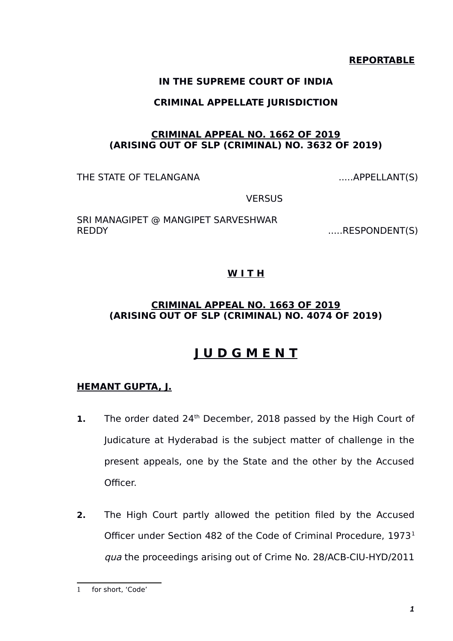### **REPORTABLE**

### **IN THE SUPREME COURT OF INDIA**

### **CRIMINAL APPELLATE JURISDICTION**

### **CRIMINAL APPEAL NO. 1662 OF 2019 (ARISING OUT OF SLP (CRIMINAL) NO. 3632 OF 2019)**

THE STATE OF TELANGANA  $\ldots$ APPELLANT(S)

**VERSUS** 

SRI MANAGIPET @ MANGIPET SARVESHWAR REDDY .....RESPONDENT(S)

## **W I T H**

### **CRIMINAL APPEAL NO. 1663 OF 2019 (ARISING OUT OF SLP (CRIMINAL) NO. 4074 OF 2019)**

# **J U D G M E N T**

### **HEMANT GUPTA, J.**

- **1.** The order dated 24<sup>th</sup> December, 2018 passed by the High Court of Judicature at Hyderabad is the subject matter of challenge in the present appeals, one by the State and the other by the Accused Officer.
- **2.** The High Court partly allowed the petition filed by the Accused Officer under Section 482 of the Code of Criminal Procedure, [1](#page-0-0)973<sup>1</sup> qua the proceedings arising out of Crime No. 28/ACB-CIU-HYD/2011

<span id="page-0-0"></span><sup>1</sup> for short, 'Code'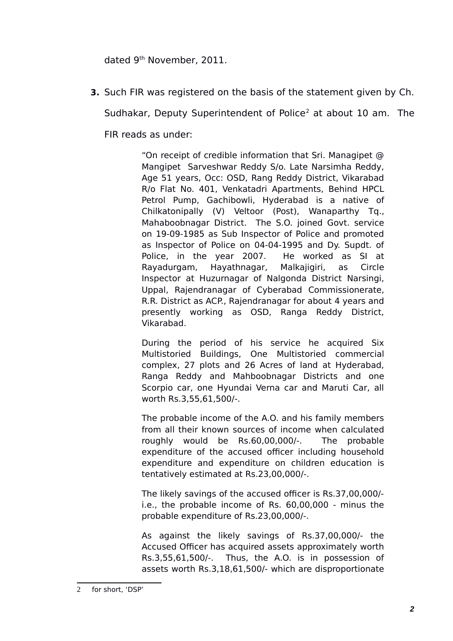dated 9<sup>th</sup> November, 2011.

**3.** Such FIR was registered on the basis of the statement given by Ch.

Sudhakar, Deputy Superintendent of Police<sup>[2](#page-1-0)</sup> at about 10 am. The

FIR reads as under:

"On receipt of credible information that Sri. Managipet @ Mangipet Sarveshwar Reddy S/o. Late Narsimha Reddy, Age 51 years, Occ: OSD, Rang Reddy District, Vikarabad R/o Flat No. 401, Venkatadri Apartments, Behind HPCL Petrol Pump, Gachibowli, Hyderabad is a native of Chilkatonipally (V) Veltoor (Post), Wanaparthy Tq., Mahaboobnagar District. The S.O. joined Govt. service on 19-09-1985 as Sub Inspector of Police and promoted as Inspector of Police on 04-04-1995 and Dy. Supdt. of Police, in the year 2007. He worked as SI at Rayadurgam, Hayathnagar, Malkajigiri, as Circle Inspector at Huzurnagar of Nalgonda District Narsingi, Uppal, Rajendranagar of Cyberabad Commissionerate, R.R. District as ACP., Rajendranagar for about 4 years and presently working as OSD, Ranga Reddy District, Vikarabad.

During the period of his service he acquired Six Multistoried Buildings, One Multistoried commercial complex, 27 plots and 26 Acres of land at Hyderabad, Ranga Reddy and Mahboobnagar Districts and one Scorpio car, one Hyundai Verna car and Maruti Car, all worth Rs.3,55,61,500/-.

The probable income of the A.O. and his family members from all their known sources of income when calculated roughly would be Rs.60,00,000/-. The probable expenditure of the accused officer including household expenditure and expenditure on children education is tentatively estimated at Rs.23,00,000/-.

The likely savings of the accused officer is Rs.37,00,000/ i.e., the probable income of Rs. 60,00,000 - minus the probable expenditure of Rs.23,00,000/-.

As against the likely savings of Rs.37,00,000/- the Accused Officer has acquired assets approximately worth Rs.3,55,61,500/-. Thus, the A.O. is in possession of assets worth Rs.3,18,61,500/- which are disproportionate

<span id="page-1-0"></span><sup>2</sup> for short, 'DSP'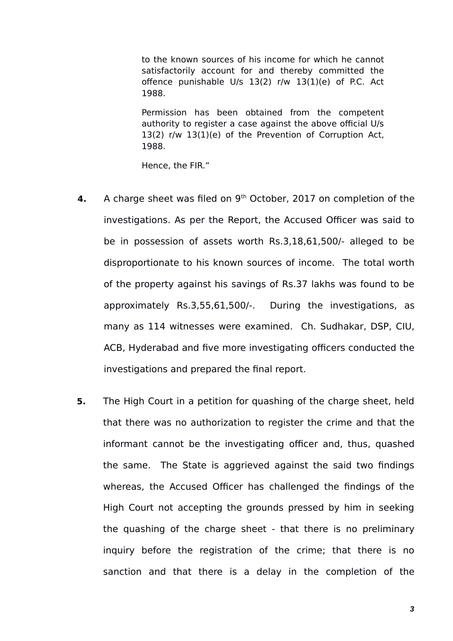to the known sources of his income for which he cannot satisfactorily account for and thereby committed the offence punishable U/s 13(2) r/w 13(1)(e) of P.C. Act 1988.

Permission has been obtained from the competent authority to register a case against the above official U/s 13(2) r/w 13(1)(e) of the Prevention of Corruption Act, 1988.

Hence, the FIR."

- 4. A charge sheet was filed on 9<sup>th</sup> October, 2017 on completion of the investigations. As per the Report, the Accused Officer was said to be in possession of assets worth Rs.3,18,61,500/- alleged to be disproportionate to his known sources of income. The total worth of the property against his savings of Rs.37 lakhs was found to be approximately Rs.3,55,61,500/-. During the investigations, as many as 114 witnesses were examined. Ch. Sudhakar, DSP, CIU, ACB, Hyderabad and five more investigating officers conducted the investigations and prepared the final report.
- **5.** The High Court in a petition for quashing of the charge sheet, held that there was no authorization to register the crime and that the informant cannot be the investigating officer and, thus, quashed the same. The State is aggrieved against the said two findings whereas, the Accused Officer has challenged the findings of the High Court not accepting the grounds pressed by him in seeking the quashing of the charge sheet - that there is no preliminary inquiry before the registration of the crime; that there is no sanction and that there is a delay in the completion of the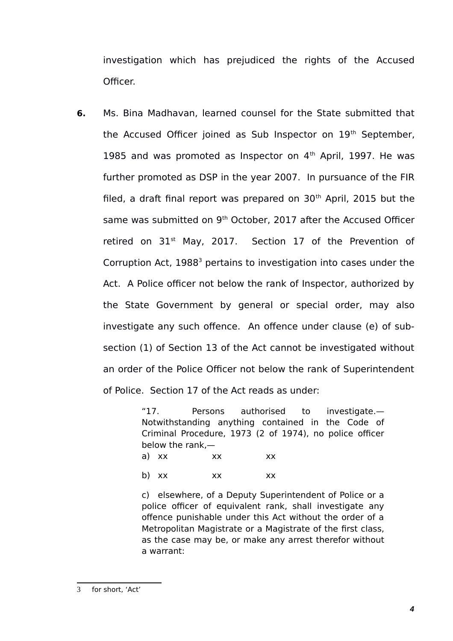investigation which has prejudiced the rights of the Accused Officer.

**6.** Ms. Bina Madhavan, learned counsel for the State submitted that the Accused Officer joined as Sub Inspector on 19<sup>th</sup> September, 1985 and was promoted as Inspector on  $4<sup>th</sup>$  April, 1997. He was further promoted as DSP in the year 2007. In pursuance of the FIR filed, a draft final report was prepared on  $30<sup>th</sup>$  April, 2015 but the same was submitted on 9<sup>th</sup> October, 2017 after the Accused Officer retired on  $31<sup>st</sup>$  May, 2017. Section 17 of the Prevention of Corruption Act, 1988<sup>[3](#page-3-0)</sup> pertains to investigation into cases under the Act. A Police officer not below the rank of Inspector, authorized by the State Government by general or special order, may also investigate any such offence. An offence under clause (e) of subsection (1) of Section 13 of the Act cannot be investigated without an order of the Police Officer not below the rank of Superintendent of Police. Section 17 of the Act reads as under:

> "17. Persons authorised to investigate.— Notwithstanding anything contained in the Code of Criminal Procedure, 1973 (2 of 1974), no police officer below the rank,—

| a) xx | XX | XX |
|-------|----|----|
| b) xx | XX | XX |

<span id="page-3-0"></span>c) elsewhere, of a Deputy Superintendent of Police or a police officer of equivalent rank, shall investigate any offence punishable under this Act without the order of a Metropolitan Magistrate or a Magistrate of the first class, as the case may be, or make any arrest therefor without a warrant: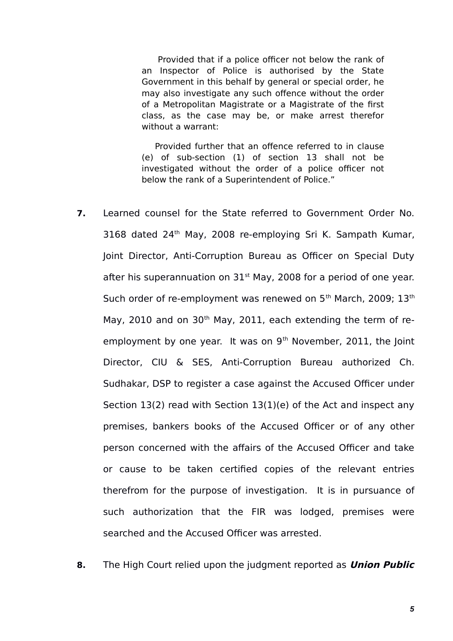Provided that if a police officer not below the rank of an Inspector of Police is authorised by the State Government in this behalf by general or special order, he may also investigate any such offence without the order of a Metropolitan Magistrate or a Magistrate of the first class, as the case may be, or make arrest therefor without a warrant:

Provided further that an offence referred to in clause (e) of sub-section (1) of section 13 shall not be investigated without the order of a police officer not below the rank of a Superintendent of Police."

- **7.** Learned counsel for the State referred to Government Order No. 3168 dated  $24<sup>th</sup>$  May, 2008 re-employing Sri K. Sampath Kumar, Joint Director, Anti-Corruption Bureau as Officer on Special Duty after his superannuation on  $31<sup>st</sup>$  May, 2008 for a period of one year. Such order of re-employment was renewed on 5<sup>th</sup> March, 2009; 13<sup>th</sup> May, 2010 and on 30<sup>th</sup> May, 2011, each extending the term of reemployment by one year. It was on  $9<sup>th</sup>$  November, 2011, the Joint Director, CIU & SES, Anti-Corruption Bureau authorized Ch. Sudhakar, DSP to register a case against the Accused Officer under Section 13(2) read with Section 13(1)(e) of the Act and inspect any premises, bankers books of the Accused Officer or of any other person concerned with the affairs of the Accused Officer and take or cause to be taken certified copies of the relevant entries therefrom for the purpose of investigation. It is in pursuance of such authorization that the FIR was lodged, premises were searched and the Accused Officer was arrested.
- **8.** The High Court relied upon the judgment reported as **Union Public**

*5*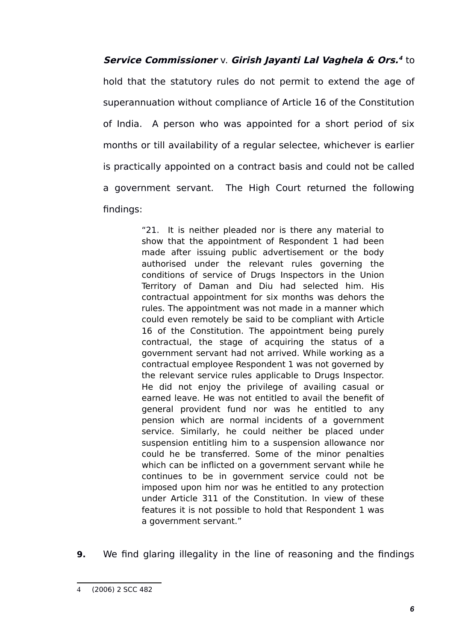**Service Commissioner** v. **Girish Jayanti Lal Vaghela & Ors. [4](#page-5-0)** to

hold that the statutory rules do not permit to extend the age of superannuation without compliance of Article 16 of the Constitution of India. A person who was appointed for a short period of six months or till availability of a regular selectee, whichever is earlier is practically appointed on a contract basis and could not be called a government servant. The High Court returned the following findings:

> "21. It is neither pleaded nor is there any material to show that the appointment of Respondent 1 had been made after issuing public advertisement or the body authorised under the relevant rules governing the conditions of service of Drugs Inspectors in the Union Territory of Daman and Diu had selected him. His contractual appointment for six months was dehors the rules. The appointment was not made in a manner which could even remotely be said to be compliant with Article 16 of the Constitution. The appointment being purely contractual, the stage of acquiring the status of a government servant had not arrived. While working as a contractual employee Respondent 1 was not governed by the relevant service rules applicable to Drugs Inspector. He did not enjoy the privilege of availing casual or earned leave. He was not entitled to avail the benefit of general provident fund nor was he entitled to any pension which are normal incidents of a government service. Similarly, he could neither be placed under suspension entitling him to a suspension allowance nor could he be transferred. Some of the minor penalties which can be inflicted on a government servant while he continues to be in government service could not be imposed upon him nor was he entitled to any protection under Article 311 of the Constitution. In view of these features it is not possible to hold that Respondent 1 was a government servant."

**9.** We find glaring illegality in the line of reasoning and the findings

<span id="page-5-0"></span><sup>4</sup> (2006) 2 SCC 482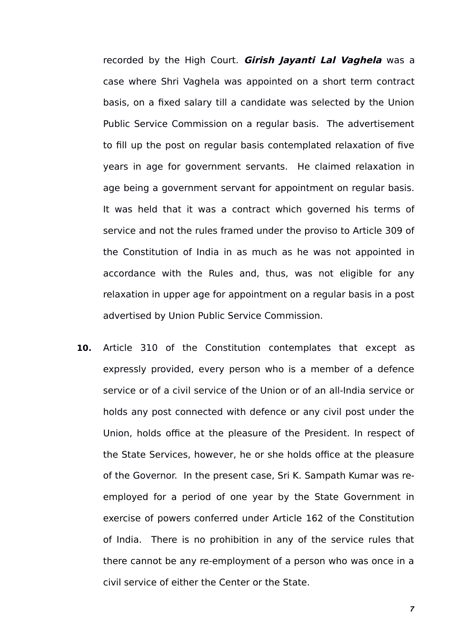recorded by the High Court. **Girish Jayanti Lal Vaghela** was a case where Shri Vaghela was appointed on a short term contract basis, on a fixed salary till a candidate was selected by the Union Public Service Commission on a regular basis. The advertisement to fill up the post on regular basis contemplated relaxation of five years in age for government servants. He claimed relaxation in age being a government servant for appointment on regular basis. It was held that it was a contract which governed his terms of service and not the rules framed under the proviso to Article 309 of the Constitution of India in as much as he was not appointed in accordance with the Rules and, thus, was not eligible for any relaxation in upper age for appointment on a regular basis in a post advertised by Union Public Service Commission.

**10.** Article 310 of the Constitution contemplates that except as expressly provided, every person who is a member of a defence service or of a civil service of the Union or of an all-India service or holds any post connected with defence or any civil post under the Union, holds office at the pleasure of the President. In respect of the State Services, however, he or she holds office at the pleasure of the Governor. In the present case, Sri K. Sampath Kumar was reemployed for a period of one year by the State Government in exercise of powers conferred under Article 162 of the Constitution of India. There is no prohibition in any of the service rules that there cannot be any re-employment of a person who was once in a civil service of either the Center or the State.

*7*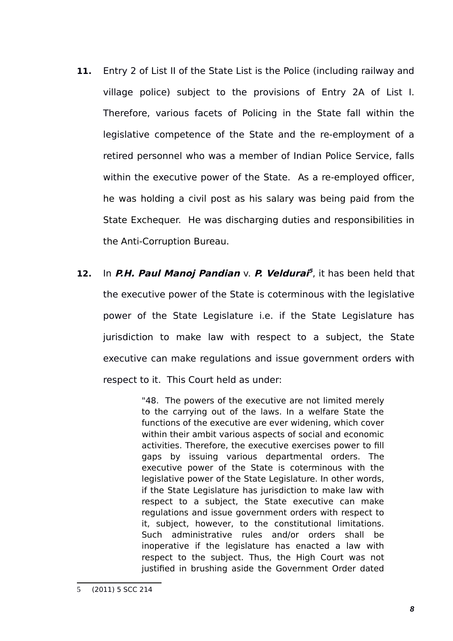- **11.** Entry 2 of List II of the State List is the Police (including railway and village police) subject to the provisions of Entry 2A of List I. Therefore, various facets of Policing in the State fall within the legislative competence of the State and the re-employment of a retired personnel who was a member of Indian Police Service, falls within the executive power of the State. As a re-employed officer, he was holding a civil post as his salary was being paid from the State Exchequer. He was discharging duties and responsibilities in the Anti-Corruption Bureau.
- **12.** In **P.H. Paul Manoj Pandian** v. **P. Veldurai [5](#page-7-0)** , it has been held that the executive power of the State is coterminous with the legislative power of the State Legislature i.e. if the State Legislature has jurisdiction to make law with respect to a subject, the State executive can make regulations and issue government orders with respect to it. This Court held as under:

"48. The powers of the executive are not limited merely to the carrying out of the laws. In a welfare State the functions of the executive are ever widening, which cover within their ambit various aspects of social and economic activities. Therefore, the executive exercises power to fill gaps by issuing various departmental orders. The executive power of the State is coterminous with the legislative power of the State Legislature. In other words, if the State Legislature has jurisdiction to make law with respect to a subject, the State executive can make regulations and issue government orders with respect to it, subject, however, to the constitutional limitations. Such administrative rules and/or orders shall be inoperative if the legislature has enacted a law with respect to the subject. Thus, the High Court was not justified in brushing aside the Government Order dated

<span id="page-7-0"></span><sup>5</sup> (2011) 5 SCC 214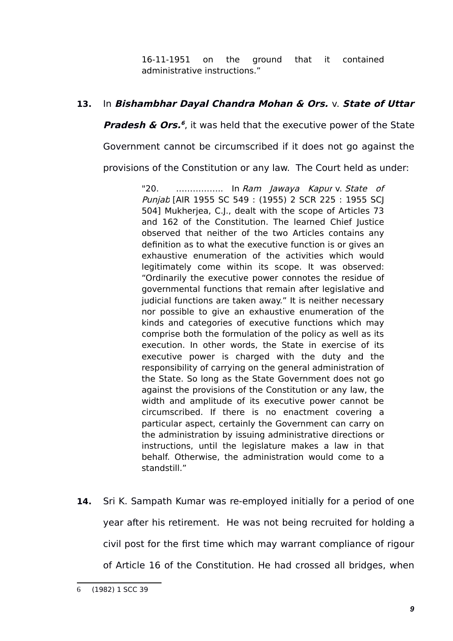16-11-1951 on the ground that it contained administrative instructions."

# **13.** In **Bishambhar Dayal Chandra Mohan & Ors.** v. **State of Uttar**

**Pradesh & Ors. [6](#page-8-0)** , it was held that the executive power of the State

Government cannot be circumscribed if it does not go against the

provisions of the Constitution or any law. The Court held as under:

"20. ……………... In Ram Jawaya Kapur v. State of Punjab [AIR 1955 SC 549 : (1955) 2 SCR 225 : 1955 SCJ 504] Mukherjea, C.J., dealt with the scope of Articles 73 and 162 of the Constitution. The learned Chief Justice observed that neither of the two Articles contains any definition as to what the executive function is or gives an exhaustive enumeration of the activities which would legitimately come within its scope. It was observed: "Ordinarily the executive power connotes the residue of governmental functions that remain after legislative and judicial functions are taken away." It is neither necessary nor possible to give an exhaustive enumeration of the kinds and categories of executive functions which may comprise both the formulation of the policy as well as its execution. In other words, the State in exercise of its executive power is charged with the duty and the responsibility of carrying on the general administration of the State. So long as the State Government does not go against the provisions of the Constitution or any law, the width and amplitude of its executive power cannot be circumscribed. If there is no enactment covering a particular aspect, certainly the Government can carry on the administration by issuing administrative directions or instructions, until the legislature makes a law in that behalf. Otherwise, the administration would come to a standstill."

**14.** Sri K. Sampath Kumar was re-employed initially for a period of one year after his retirement. He was not being recruited for holding a civil post for the first time which may warrant compliance of rigour of Article 16 of the Constitution. He had crossed all bridges, when

<span id="page-8-0"></span><sup>6</sup> (1982) 1 SCC 39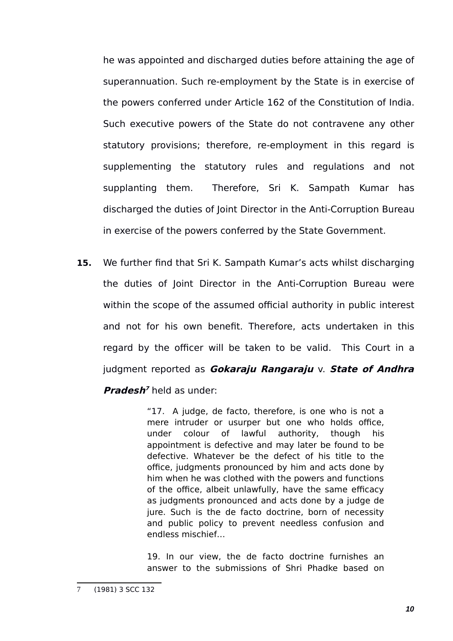he was appointed and discharged duties before attaining the age of superannuation. Such re-employment by the State is in exercise of the powers conferred under Article 162 of the Constitution of India. Such executive powers of the State do not contravene any other statutory provisions; therefore, re-employment in this regard is supplementing the statutory rules and regulations and not supplanting them. Therefore, Sri K. Sampath Kumar has discharged the duties of Joint Director in the Anti-Corruption Bureau in exercise of the powers conferred by the State Government.

**15.** We further find that Sri K. Sampath Kumar's acts whilst discharging the duties of Joint Director in the Anti-Corruption Bureau were within the scope of the assumed official authority in public interest and not for his own benefit. Therefore, acts undertaken in this regard by the officer will be taken to be valid. This Court in a judgment reported as **Gokaraju Rangaraju** v. **State of Andhra**

### **Pradesh<sup>[7](#page-9-0)</sup>** held as under:

"17. A judge, de facto, therefore, is one who is not a mere intruder or usurper but one who holds office, under colour of lawful authority, though his appointment is defective and may later be found to be defective. Whatever be the defect of his title to the office, judgments pronounced by him and acts done by him when he was clothed with the powers and functions of the office, albeit unlawfully, have the same efficacy as judgments pronounced and acts done by a judge de jure. Such is the de facto doctrine, born of necessity and public policy to prevent needless confusion and endless mischief…

19. In our view, the de facto doctrine furnishes an answer to the submissions of Shri Phadke based on

<span id="page-9-0"></span><sup>(1981) 3</sup> SCC 132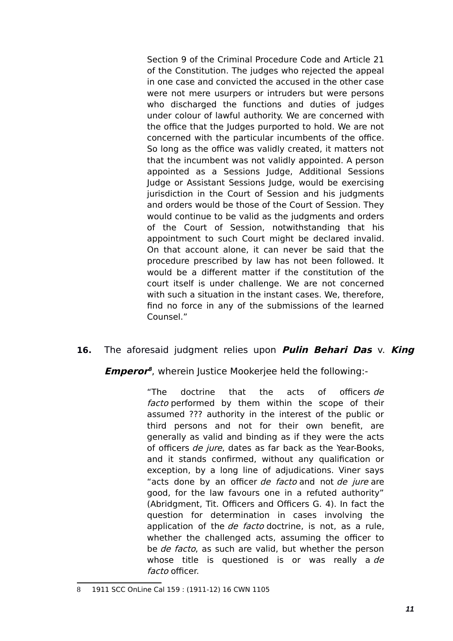Section 9 of the Criminal Procedure Code and Article 21 of the Constitution. The judges who rejected the appeal in one case and convicted the accused in the other case were not mere usurpers or intruders but were persons who discharged the functions and duties of judges under colour of lawful authority. We are concerned with the office that the Judges purported to hold. We are not concerned with the particular incumbents of the office. So long as the office was validly created, it matters not that the incumbent was not validly appointed. A person appointed as a Sessions Judge, Additional Sessions Judge or Assistant Sessions Judge, would be exercising jurisdiction in the Court of Session and his judgments and orders would be those of the Court of Session. They would continue to be valid as the judgments and orders of the Court of Session, notwithstanding that his appointment to such Court might be declared invalid. On that account alone, it can never be said that the procedure prescribed by law has not been followed. It would be a different matter if the constitution of the court itself is under challenge. We are not concerned with such a situation in the instant cases. We, therefore, find no force in any of the submissions of the learned Counsel."

### **16.** The aforesaid judgment relies upon **Pulin Behari Das** v. **King**

**Emperor [8](#page-10-0)** , wherein Justice Mookerjee held the following:-

"The doctrine that the acts of officers de facto performed by them within the scope of their assumed ??? authority in the interest of the public or third persons and not for their own benefit, are generally as valid and binding as if they were the acts of officers de jure, dates as far back as the Year-Books, and it stands confirmed, without any qualification or exception, by a long line of adjudications. Viner says "acts done by an officer de facto and not de jure are good, for the law favours one in a refuted authority" (Abridgment, Tit. Officers and Officers G. 4). In fact the question for determination in cases involving the application of the *de facto* doctrine, is not, as a rule, whether the challenged acts, assuming the officer to be de facto, as such are valid, but whether the person whose title is questioned is or was really a de facto officer.

<span id="page-10-0"></span><sup>1911</sup> SCC OnLine Cal 159 : (1911-12) 16 CWN 1105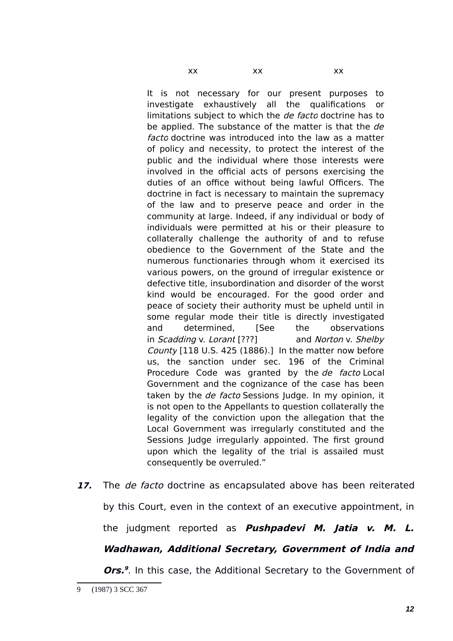It is not necessary for our present purposes to investigate exhaustively all the qualifications or limitations subject to which the *de facto* doctrine has to be applied. The substance of the matter is that the de facto doctrine was introduced into the law as a matter of policy and necessity, to protect the interest of the public and the individual where those interests were involved in the official acts of persons exercising the duties of an office without being lawful Officers. The doctrine in fact is necessary to maintain the supremacy of the law and to preserve peace and order in the community at large. Indeed, if any individual or body of individuals were permitted at his or their pleasure to collaterally challenge the authority of and to refuse obedience to the Government of the State and the numerous functionaries through whom it exercised its various powers, on the ground of irregular existence or defective title, insubordination and disorder of the worst kind would be encouraged. For the good order and peace of society their authority must be upheld until in some regular mode their title is directly investigated and determined, [See the observations in Scadding v. Lorant [???] and Norton v. Shelby County [118 U.S. 425 (1886).] In the matter now before us, the sanction under sec. 196 of the Criminal Procedure Code was granted by the *de facto* Local Government and the cognizance of the case has been taken by the de facto Sessions Judge. In my opinion, it is not open to the Appellants to question collaterally the legality of the conviction upon the allegation that the Local Government was irregularly constituted and the Sessions Judge irregularly appointed. The first ground upon which the legality of the trial is assailed must consequently be overruled."

**17.** The de facto doctrine as encapsulated above has been reiterated by this Court, even in the context of an executive appointment, in the judgment reported as **Pushpadevi M. Jatia v. M. L. Wadhawan, Additional Secretary, Government of India and**

**Ors.**<sup>[9](#page-11-0)</sup>. In this case, the Additional Secretary to the Government of

<span id="page-11-0"></span><sup>9 (1987) 3</sup> SCC 367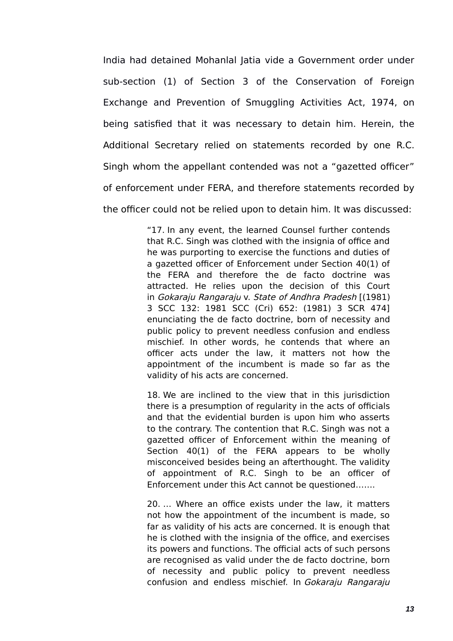India had detained Mohanlal Jatia vide a Government order under sub-section (1) of Section 3 of the Conservation of Foreign Exchange and Prevention of Smuggling Activities Act, 1974, on being satisfied that it was necessary to detain him. Herein, the Additional Secretary relied on statements recorded by one R.C. Singh whom the appellant contended was not a "gazetted officer" of enforcement under FERA, and therefore statements recorded by the officer could not be relied upon to detain him. It was discussed:

> "17. In any event, the learned Counsel further contends that R.C. Singh was clothed with the insignia of office and he was purporting to exercise the functions and duties of a gazetted officer of Enforcement under Section 40(1) of the FERA and therefore the de facto doctrine was attracted. He relies upon the decision of this Court in Gokaraju Rangaraju v. State of Andhra Pradesh [(1981) 3 SCC 132: 1981 SCC (Cri) 652: (1981) 3 SCR 474] enunciating the de facto doctrine, born of necessity and public policy to prevent needless confusion and endless mischief. In other words, he contends that where an officer acts under the law, it matters not how the appointment of the incumbent is made so far as the validity of his acts are concerned.

> 18. We are inclined to the view that in this jurisdiction there is a presumption of regularity in the acts of officials and that the evidential burden is upon him who asserts to the contrary. The contention that R.C. Singh was not a gazetted officer of Enforcement within the meaning of Section 40(1) of the FERA appears to be wholly misconceived besides being an afterthought. The validity of appointment of R.C. Singh to be an officer of Enforcement under this Act cannot be questioned…….

> 20. … Where an office exists under the law, it matters not how the appointment of the incumbent is made, so far as validity of his acts are concerned. It is enough that he is clothed with the insignia of the office, and exercises its powers and functions. The official acts of such persons are recognised as valid under the de facto doctrine, born of necessity and public policy to prevent needless confusion and endless mischief. In Gokaraju Rangaraju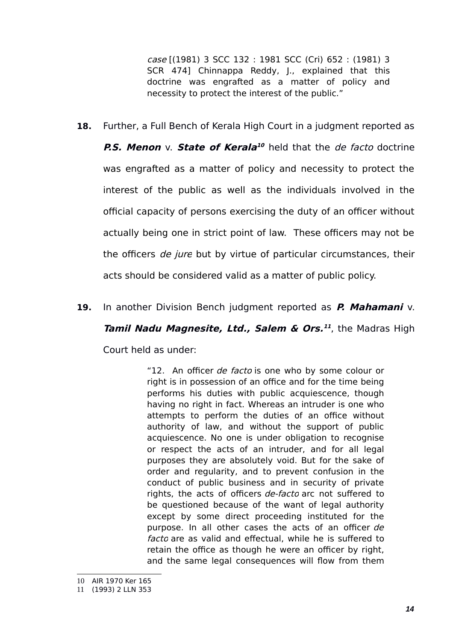case [(1981) 3 SCC 132 : 1981 SCC (Cri) 652 : (1981) 3 SCR 474] Chinnappa Reddy, J., explained that this doctrine was engrafted as a matter of policy and necessity to protect the interest of the public."

**18.** Further, a Full Bench of Kerala High Court in a judgment reported as

**P.S. Menon** v. **State of Kerala [10](#page-13-0)** held that the de facto doctrine was engrafted as a matter of policy and necessity to protect the interest of the public as well as the individuals involved in the official capacity of persons exercising the duty of an officer without actually being one in strict point of law. These officers may not be the officers *de jure* but by virtue of particular circumstances, their acts should be considered valid as a matter of public policy.

**19.** In another Division Bench judgment reported as **P. Mahamani** v.

**Tamil Nadu Magnesite, Ltd., Salem & Ors.<sup>[11](#page-13-1)</sup>, the Madras High** 

Court held as under:

"12. An officer de facto is one who by some colour or right is in possession of an office and for the time being performs his duties with public acquiescence, though having no right in fact. Whereas an intruder is one who attempts to perform the duties of an office without authority of law, and without the support of public acquiescence. No one is under obligation to recognise or respect the acts of an intruder, and for all legal purposes they are absolutely void. But for the sake of order and regularity, and to prevent confusion in the conduct of public business and in security of private rights, the acts of officers de-facto arc not suffered to be questioned because of the want of legal authority except by some direct proceeding instituted for the purpose. In all other cases the acts of an officer de facto are as valid and effectual, while he is suffered to retain the office as though he were an officer by right, and the same legal consequences will flow from them

<span id="page-13-0"></span><sup>10</sup> AIR 1970 Ker 165

<span id="page-13-1"></span><sup>11</sup> (1993) 2 LLN 353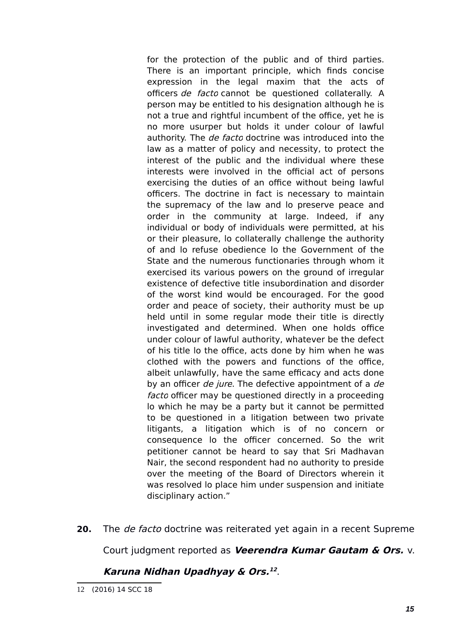for the protection of the public and of third parties. There is an important principle, which finds concise expression in the legal maxim that the acts of officers de facto cannot be questioned collaterally. A person may be entitled to his designation although he is not a true and rightful incumbent of the office, yet he is no more usurper but holds it under colour of lawful authority. The *de facto* doctrine was introduced into the law as a matter of policy and necessity, to protect the interest of the public and the individual where these interests were involved in the official act of persons exercising the duties of an office without being lawful officers. The doctrine in fact is necessary to maintain the supremacy of the law and lo preserve peace and order in the community at large. Indeed, if any individual or body of individuals were permitted, at his or their pleasure, lo collaterally challenge the authority of and lo refuse obedience lo the Government of the State and the numerous functionaries through whom it exercised its various powers on the ground of irregular existence of defective title insubordination and disorder of the worst kind would be encouraged. For the good order and peace of society, their authority must be up held until in some regular mode their title is directly investigated and determined. When one holds office under colour of lawful authority, whatever be the defect of his title lo the office, acts done by him when he was clothed with the powers and functions of the office, albeit unlawfully, have the same efficacy and acts done by an officer *de jure*. The defective appointment of a *de* facto officer may be questioned directly in a proceeding lo which he may be a party but it cannot be permitted to be questioned in a litigation between two private litigants, a litigation which is of no concern or consequence lo the officer concerned. So the writ petitioner cannot be heard to say that Sri Madhavan Nair, the second respondent had no authority to preside over the meeting of the Board of Directors wherein it was resolved lo place him under suspension and initiate disciplinary action."

**20.** The de facto doctrine was reiterated yet again in a recent Supreme

Court judgment reported as **Veerendra Kumar Gautam & Ors.** v.

### **Karuna Nidhan Upadhyay & Ors. [12](#page-14-0)** .

<span id="page-14-0"></span><sup>12</sup> (2016) 14 SCC 18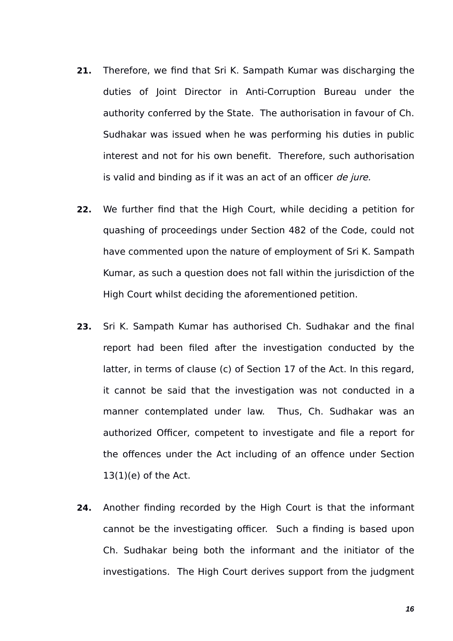- **21.** Therefore, we find that Sri K. Sampath Kumar was discharging the duties of Joint Director in Anti-Corruption Bureau under the authority conferred by the State. The authorisation in favour of Ch. Sudhakar was issued when he was performing his duties in public interest and not for his own benefit. Therefore, such authorisation is valid and binding as if it was an act of an officer de jure.
- **22.** We further find that the High Court, while deciding a petition for quashing of proceedings under Section 482 of the Code, could not have commented upon the nature of employment of Sri K. Sampath Kumar, as such a question does not fall within the jurisdiction of the High Court whilst deciding the aforementioned petition.
- **23.** Sri K. Sampath Kumar has authorised Ch. Sudhakar and the final report had been filed after the investigation conducted by the latter, in terms of clause (c) of Section 17 of the Act. In this regard, it cannot be said that the investigation was not conducted in a manner contemplated under law. Thus, Ch. Sudhakar was an authorized Officer, competent to investigate and file a report for the offences under the Act including of an offence under Section  $13(1)(e)$  of the Act.
- **24.** Another finding recorded by the High Court is that the informant cannot be the investigating officer. Such a finding is based upon Ch. Sudhakar being both the informant and the initiator of the investigations. The High Court derives support from the judgment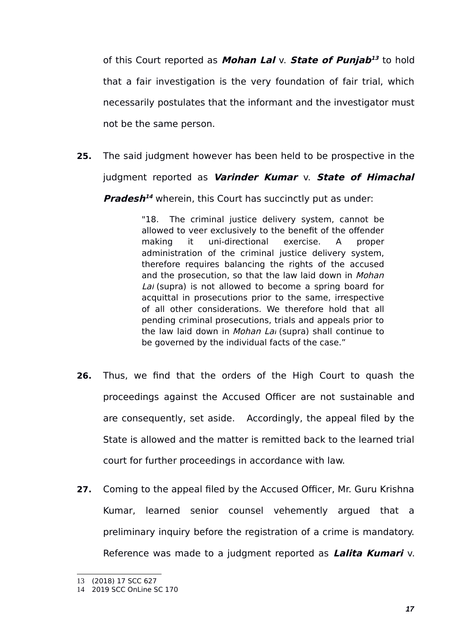of this Court reported as **Mohan Lal** v. **State of Punjab [13](#page-16-0)** to hold that a fair investigation is the very foundation of fair trial, which necessarily postulates that the informant and the investigator must not be the same person.

**25.** The said judgment however has been held to be prospective in the judgment reported as **Varinder Kumar** v. **State of Himachal**

**Pradesh<sup>[14](#page-16-1)</sup>** wherein, this Court has succinctly put as under:

"18. The criminal justice delivery system, cannot be allowed to veer exclusively to the benefit of the offender making it uni-directional exercise. A proper administration of the criminal justice delivery system, therefore requires balancing the rights of the accused and the prosecution, so that the law laid down in Mohan Lai (supra) is not allowed to become a spring board for acquittal in prosecutions prior to the same, irrespective of all other considerations. We therefore hold that all pending criminal prosecutions, trials and appeals prior to the law laid down in Mohan Lai (supra) shall continue to be governed by the individual facts of the case."

- **26.** Thus, we find that the orders of the High Court to quash the proceedings against the Accused Officer are not sustainable and are consequently, set aside. Accordingly, the appeal filed by the State is allowed and the matter is remitted back to the learned trial court for further proceedings in accordance with law.
- **27.** Coming to the appeal filed by the Accused Officer, Mr. Guru Krishna Kumar, learned senior counsel vehemently argued that a preliminary inquiry before the registration of a crime is mandatory. Reference was made to a judgment reported as **Lalita Kumari** v.

<span id="page-16-0"></span><sup>13</sup> (2018) 17 SCC 627

<span id="page-16-1"></span><sup>14</sup> 2019 SCC OnLine SC 170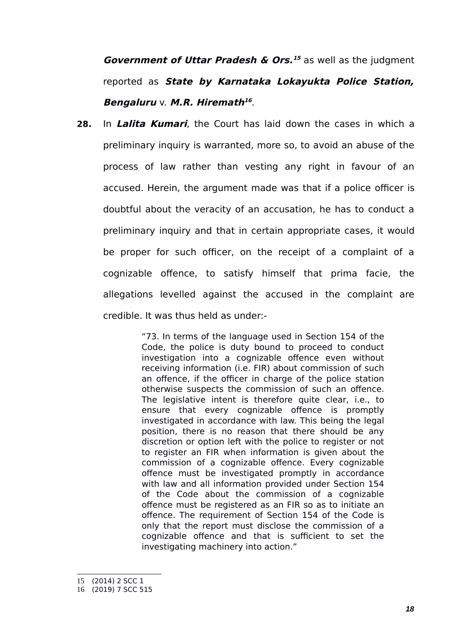*Government of Uttar Pradesh & Ors.<sup>[15](#page-17-0)</sup> as well as the judgment* reported as **State by Karnataka Lokayukta Police Station, Bengaluru** v. **M.R. Hiremath [16](#page-17-1)** .

**28.** In **Lalita Kumari**, the Court has laid down the cases in which a preliminary inquiry is warranted, more so, to avoid an abuse of the process of law rather than vesting any right in favour of an accused. Herein, the argument made was that if a police officer is doubtful about the veracity of an accusation, he has to conduct a preliminary inquiry and that in certain appropriate cases, it would be proper for such officer, on the receipt of a complaint of a cognizable offence, to satisfy himself that prima facie, the allegations levelled against the accused in the complaint are credible. It was thus held as under:-

> "73. In terms of the language used in Section 154 of the Code, the police is duty bound to proceed to conduct investigation into a cognizable offence even without receiving information (i.e. FIR) about commission of such an offence, if the officer in charge of the police station otherwise suspects the commission of such an offence. The legislative intent is therefore quite clear, i.e., to ensure that every cognizable offence is promptly investigated in accordance with law. This being the legal position, there is no reason that there should be any discretion or option left with the police to register or not to register an FIR when information is given about the commission of a cognizable offence. Every cognizable offence must be investigated promptly in accordance with law and all information provided under Section 154 of the Code about the commission of a cognizable offence must be registered as an FIR so as to initiate an offence. The requirement of Section 154 of the Code is only that the report must disclose the commission of a cognizable offence and that is sufficient to set the investigating machinery into action."

<span id="page-17-0"></span><sup>15</sup> (2014) 2 SCC 1

<span id="page-17-1"></span><sup>16</sup> (2019) 7 SCC 515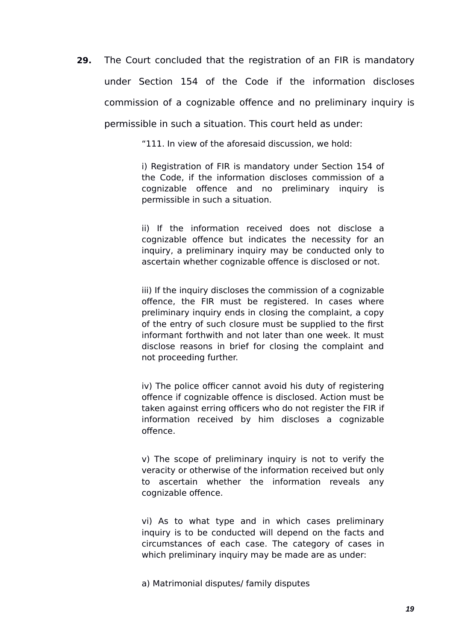**29.** The Court concluded that the registration of an FIR is mandatory under Section 154 of the Code if the information discloses commission of a cognizable offence and no preliminary inquiry is permissible in such a situation. This court held as under:

"111. In view of the aforesaid discussion, we hold:

i) Registration of FIR is mandatory under Section 154 of the Code, if the information discloses commission of a cognizable offence and no preliminary inquiry is permissible in such a situation.

ii) If the information received does not disclose a cognizable offence but indicates the necessity for an inquiry, a preliminary inquiry may be conducted only to ascertain whether cognizable offence is disclosed or not.

iii) If the inquiry discloses the commission of a cognizable offence, the FIR must be registered. In cases where preliminary inquiry ends in closing the complaint, a copy of the entry of such closure must be supplied to the first informant forthwith and not later than one week. It must disclose reasons in brief for closing the complaint and not proceeding further.

iv) The police officer cannot avoid his duty of registering offence if cognizable offence is disclosed. Action must be taken against erring officers who do not register the FIR if information received by him discloses a cognizable offence.

v) The scope of preliminary inquiry is not to verify the veracity or otherwise of the information received but only to ascertain whether the information reveals any cognizable offence.

vi) As to what type and in which cases preliminary inquiry is to be conducted will depend on the facts and circumstances of each case. The category of cases in which preliminary inquiry may be made are as under:

a) Matrimonial disputes/ family disputes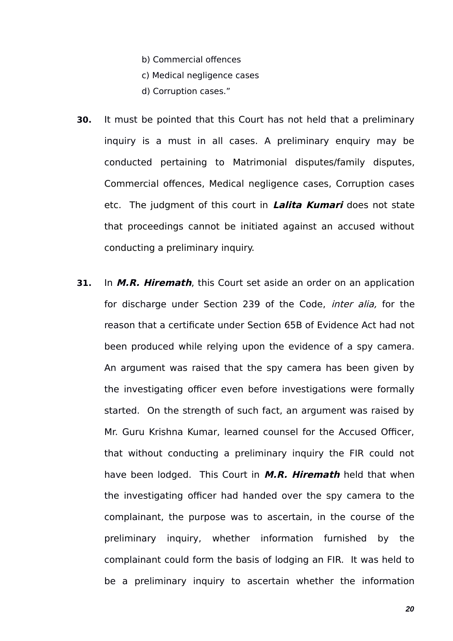- b) Commercial offences
- c) Medical negligence cases
- d) Corruption cases."
- **30.** It must be pointed that this Court has not held that a preliminary inquiry is a must in all cases. A preliminary enquiry may be conducted pertaining to Matrimonial disputes/family disputes, Commercial offences, Medical negligence cases, Corruption cases etc. The judgment of this court in **Lalita Kumari** does not state that proceedings cannot be initiated against an accused without conducting a preliminary inquiry.
- **31.** In **M.R. Hiremath**, this Court set aside an order on an application for discharge under Section 239 of the Code, *inter alia*, for the reason that a certificate under Section 65B of Evidence Act had not been produced while relying upon the evidence of a spy camera. An argument was raised that the spy camera has been given by the investigating officer even before investigations were formally started. On the strength of such fact, an argument was raised by Mr. Guru Krishna Kumar, learned counsel for the Accused Officer, that without conducting a preliminary inquiry the FIR could not have been lodged. This Court in **M.R. Hiremath** held that when the investigating officer had handed over the spy camera to the complainant, the purpose was to ascertain, in the course of the preliminary inquiry, whether information furnished by the complainant could form the basis of lodging an FIR. It was held to be a preliminary inquiry to ascertain whether the information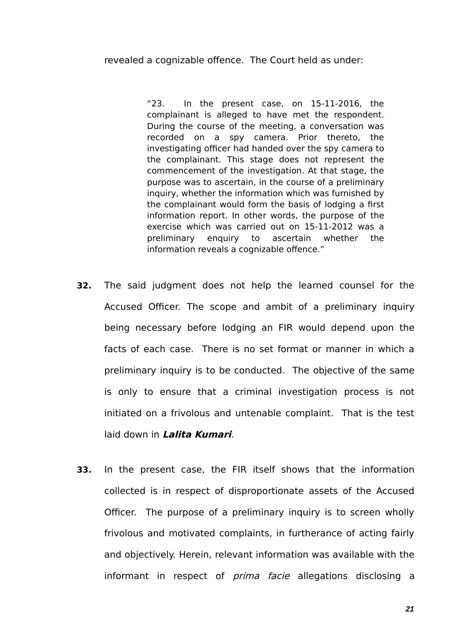revealed a cognizable offence. The Court held as under:

"23. In the present case, on 15-11-2016, the complainant is alleged to have met the respondent. During the course of the meeting, a conversation was recorded on a spy camera. Prior thereto, the investigating officer had handed over the spy camera to the complainant. This stage does not represent the commencement of the investigation. At that stage, the purpose was to ascertain, in the course of a preliminary inquiry, whether the information which was furnished by the complainant would form the basis of lodging a first information report. In other words, the purpose of the exercise which was carried out on 15-11-2012 was a preliminary enquiry to ascertain whether the information reveals a cognizable offence."

- **32.** The said judgment does not help the learned counsel for the Accused Officer. The scope and ambit of a preliminary inquiry being necessary before lodging an FIR would depend upon the facts of each case. There is no set format or manner in which a preliminary inquiry is to be conducted. The objective of the same is only to ensure that a criminal investigation process is not initiated on a frivolous and untenable complaint. That is the test laid down in **Lalita Kumari**.
- **33.** In the present case, the FIR itself shows that the information collected is in respect of disproportionate assets of the Accused Officer. The purpose of a preliminary inquiry is to screen wholly frivolous and motivated complaints, in furtherance of acting fairly and objectively. Herein, relevant information was available with the informant in respect of *prima facie* allegations disclosing a

*21*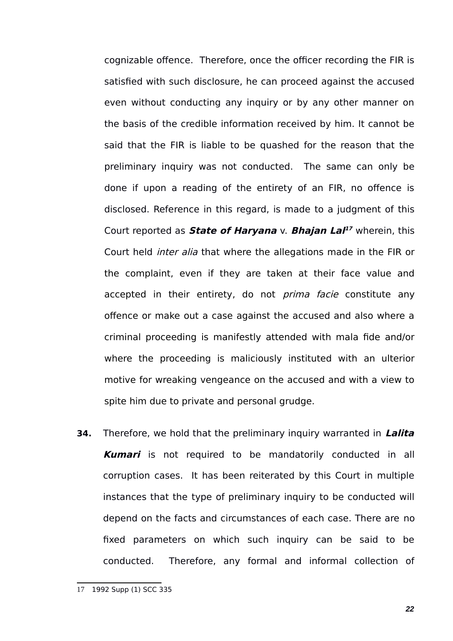cognizable offence. Therefore, once the officer recording the FIR is satisfied with such disclosure, he can proceed against the accused even without conducting any inquiry or by any other manner on the basis of the credible information received by him. It cannot be said that the FIR is liable to be quashed for the reason that the preliminary inquiry was not conducted. The same can only be done if upon a reading of the entirety of an FIR, no offence is disclosed. Reference in this regard, is made to a judgment of this Court reported as **State of Haryana** v. **Bhajan Lal [17](#page-21-0)** wherein, this Court held inter alia that where the allegations made in the FIR or the complaint, even if they are taken at their face value and accepted in their entirety, do not *prima facie* constitute any offence or make out a case against the accused and also where a criminal proceeding is manifestly attended with mala fide and/or where the proceeding is maliciously instituted with an ulterior motive for wreaking vengeance on the accused and with a view to spite him due to private and personal grudge.

**34.** Therefore, we hold that the preliminary inquiry warranted in **Lalita Kumari** is not required to be mandatorily conducted in all corruption cases. It has been reiterated by this Court in multiple instances that the type of preliminary inquiry to be conducted will depend on the facts and circumstances of each case. There are no fixed parameters on which such inquiry can be said to be conducted. Therefore, any formal and informal collection of

<span id="page-21-0"></span><sup>17</sup> 1992 Supp (1) SCC 335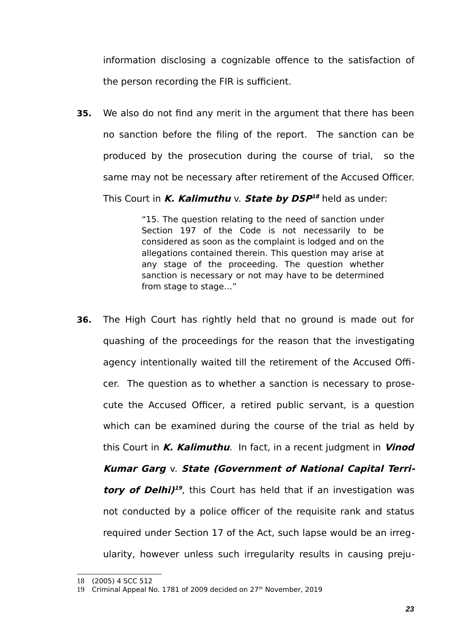information disclosing a cognizable offence to the satisfaction of the person recording the FIR is sufficient.

**35.** We also do not find any merit in the argument that there has been no sanction before the filing of the report. The sanction can be produced by the prosecution during the course of trial, so the same may not be necessary after retirement of the Accused Officer.

This Court in **K. Kalimuthu** v. **State by DSP [18](#page-22-0)** held as under:

"15. The question relating to the need of sanction under Section 197 of the Code is not necessarily to be considered as soon as the complaint is lodged and on the allegations contained therein. This question may arise at any stage of the proceeding. The question whether sanction is necessary or not may have to be determined from stage to stage…"

**36.** The High Court has rightly held that no ground is made out for quashing of the proceedings for the reason that the investigating agency intentionally waited till the retirement of the Accused Officer. The question as to whether a sanction is necessary to prosecute the Accused Officer, a retired public servant, is a question which can be examined during the course of the trial as held by this Court in **K. Kalimuthu**. In fact, in a recent judgment in **Vinod Kumar Garg** v. **State (Government of National Capital Terri-tory of Delhi)<sup>[19](#page-22-1)</sup>**, this Court has held that if an investigation was not conducted by a police officer of the requisite rank and status required under Section 17 of the Act, such lapse would be an irregularity, however unless such irregularity results in causing preju-

<span id="page-22-0"></span><sup>18</sup> (2005) 4 SCC 512

<span id="page-22-1"></span><sup>19</sup> Criminal Appeal No. 1781 of 2009 decided on 27<sup>th</sup> November, 2019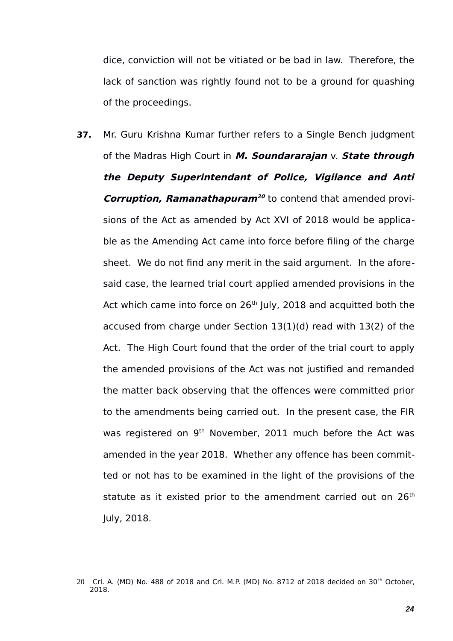dice, conviction will not be vitiated or be bad in law. Therefore, the lack of sanction was rightly found not to be a ground for quashing of the proceedings.

**37.** Mr. Guru Krishna Kumar further refers to a Single Bench judgment of the Madras High Court in **M. Soundararajan** v. **State through the Deputy Superintendant of Police, Vigilance and Anti Corruption, Ramanathapuram<sup>[20](#page-23-0)</sup> to contend that amended provi**sions of the Act as amended by Act XVI of 2018 would be applicable as the Amending Act came into force before filing of the charge sheet. We do not find any merit in the said argument. In the aforesaid case, the learned trial court applied amended provisions in the Act which came into force on  $26<sup>th</sup>$  July, 2018 and acquitted both the accused from charge under Section 13(1)(d) read with 13(2) of the Act. The High Court found that the order of the trial court to apply the amended provisions of the Act was not justified and remanded the matter back observing that the offences were committed prior to the amendments being carried out. In the present case, the FIR was registered on 9<sup>th</sup> November, 2011 much before the Act was amended in the year 2018. Whether any offence has been committed or not has to be examined in the light of the provisions of the statute as it existed prior to the amendment carried out on  $26<sup>th</sup>$ July, 2018.

<span id="page-23-0"></span><sup>20</sup> Crl. A. (MD) No. 488 of 2018 and Crl. M.P. (MD) No. 8712 of 2018 decided on 30<sup>th</sup> October, 2018.